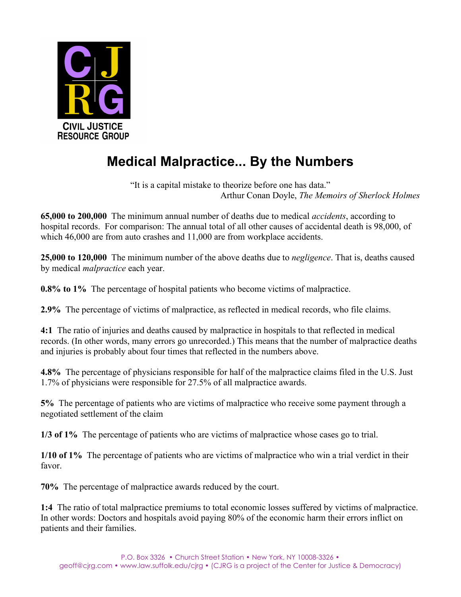

## **Medical Malpractice... By the Numbers**

"It is a capital mistake to theorize before one has data." Arthur Conan Doyle, *The Memoirs of Sherlock Holmes*

**65,000 to 200,000** The minimum annual number of deaths due to medical *accidents*, according to hospital records. For comparison: The annual total of all other causes of accidental death is 98,000, of which 46,000 are from auto crashes and 11,000 are from workplace accidents.

**25,000 to 120,000** The minimum number of the above deaths due to *negligence*. That is, deaths caused by medical *malpractice* each year.

**0.8% to 1%** The percentage of hospital patients who become victims of malpractice.

**2.9%** The percentage of victims of malpractice, as reflected in medical records, who file claims.

**4:1** The ratio of injuries and deaths caused by malpractice in hospitals to that reflected in medical records. (In other words, many errors go unrecorded.) This means that the number of malpractice deaths and injuries is probably about four times that reflected in the numbers above.

**4.8%** The percentage of physicians responsible for half of the malpractice claims filed in the U.S. Just 1.7% of physicians were responsible for 27.5% of all malpractice awards.

**5%** The percentage of patients who are victims of malpractice who receive some payment through a negotiated settlement of the claim

**1/3 of 1%** The percentage of patients who are victims of malpractice whose cases go to trial.

**1/10 of 1%** The percentage of patients who are victims of malpractice who win a trial verdict in their favor.

**70%** The percentage of malpractice awards reduced by the court.

**1:4** The ratio of total malpractice premiums to total economic losses suffered by victims of malpractice. In other words: Doctors and hospitals avoid paying 80% of the economic harm their errors inflict on patients and their families.